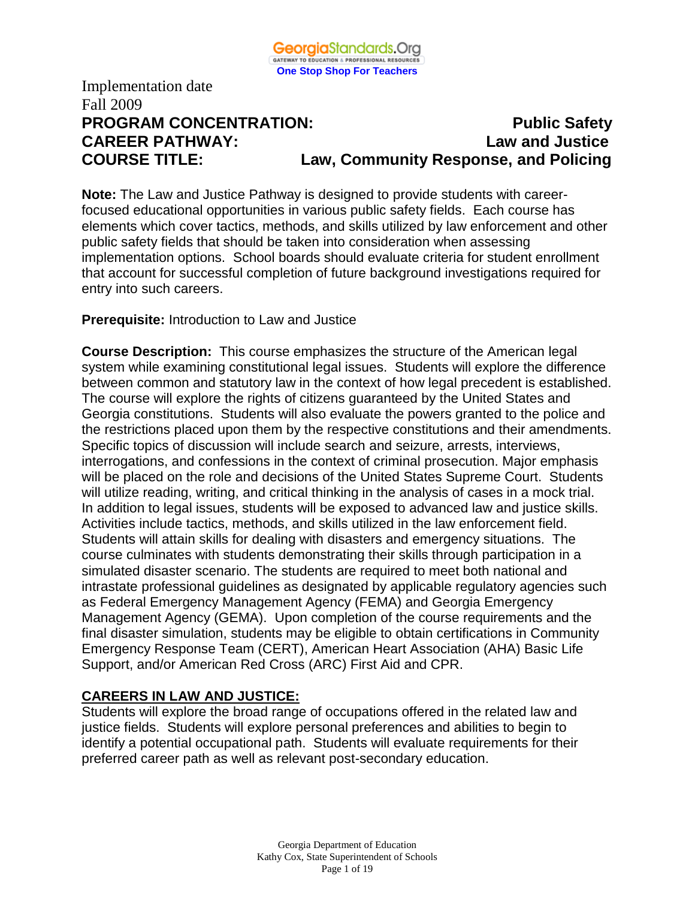

# **PROGRAM CONCENTRATION:** PROGRAM **PUblic Safety CAREER PATHWAY: Law and Justice COURSE TITLE: Law, Community Response, and Policing**

**Note:** The Law and Justice Pathway is designed to provide students with careerfocused educational opportunities in various public safety fields. Each course has elements which cover tactics, methods, and skills utilized by law enforcement and other public safety fields that should be taken into consideration when assessing implementation options. School boards should evaluate criteria for student enrollment that account for successful completion of future background investigations required for entry into such careers.

# **Prerequisite:** Introduction to Law and Justice

**Course Description:** This course emphasizes the structure of the American legal system while examining constitutional legal issues. Students will explore the difference between common and statutory law in the context of how legal precedent is established. The course will explore the rights of citizens guaranteed by the United States and Georgia constitutions. Students will also evaluate the powers granted to the police and the restrictions placed upon them by the respective constitutions and their amendments. Specific topics of discussion will include search and seizure, arrests, interviews, interrogations, and confessions in the context of criminal prosecution. Major emphasis will be placed on the role and decisions of the United States Supreme Court. Students will utilize reading, writing, and critical thinking in the analysis of cases in a mock trial. In addition to legal issues, students will be exposed to advanced law and justice skills. Activities include tactics, methods, and skills utilized in the law enforcement field. Students will attain skills for dealing with disasters and emergency situations. The course culminates with students demonstrating their skills through participation in a simulated disaster scenario. The students are required to meet both national and intrastate professional guidelines as designated by applicable regulatory agencies such as Federal Emergency Management Agency (FEMA) and Georgia Emergency Management Agency (GEMA). Upon completion of the course requirements and the final disaster simulation, students may be eligible to obtain certifications in Community Emergency Response Team (CERT), American Heart Association (AHA) Basic Life Support, and/or American Red Cross (ARC) First Aid and CPR.

# **CAREERS IN LAW AND JUSTICE:**

Students will explore the broad range of occupations offered in the related law and justice fields. Students will explore personal preferences and abilities to begin to identify a potential occupational path. Students will evaluate requirements for their preferred career path as well as relevant post-secondary education.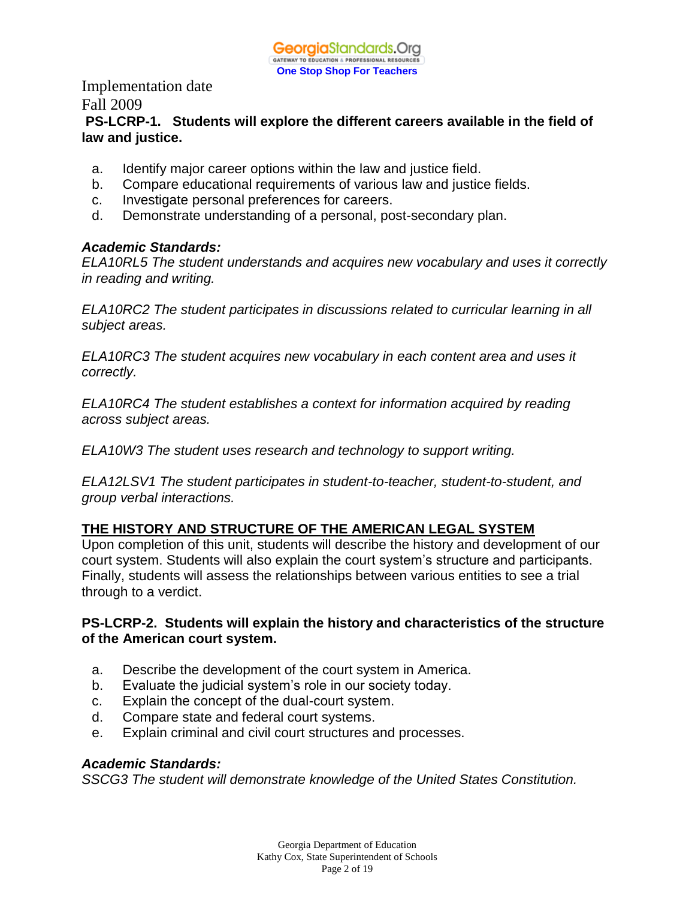# **PS-LCRP-1. Students will explore the different careers available in the field of law and justice.**

- a. Identify major career options within the law and justice field.
- b. Compare educational requirements of various law and justice fields.
- c. Investigate personal preferences for careers.
- d. Demonstrate understanding of a personal, post-secondary plan.

# *Academic Standards:*

*ELA10RL5 The student understands and acquires new vocabulary and uses it correctly in reading and writing.* 

*ELA10RC2 The student participates in discussions related to curricular learning in all subject areas.* 

*ELA10RC3 The student acquires new vocabulary in each content area and uses it correctly.* 

*ELA10RC4 The student establishes a context for information acquired by reading across subject areas.* 

*ELA10W3 The student uses research and technology to support writing.* 

*ELA12LSV1 The student participates in student-to-teacher, student-to-student, and group verbal interactions.* 

# **THE HISTORY AND STRUCTURE OF THE AMERICAN LEGAL SYSTEM**

Upon completion of this unit, students will describe the history and development of our court system. Students will also explain the court system's structure and participants. Finally, students will assess the relationships between various entities to see a trial through to a verdict.

# **PS-LCRP-2. Students will explain the history and characteristics of the structure of the American court system.**

- a. Describe the development of the court system in America.
- b. Evaluate the judicial system's role in our society today.
- c. Explain the concept of the dual-court system.
- d. Compare state and federal court systems.
- e. Explain criminal and civil court structures and processes.

# *Academic Standards:*

*SSCG3 The student will demonstrate knowledge of the United States Constitution.*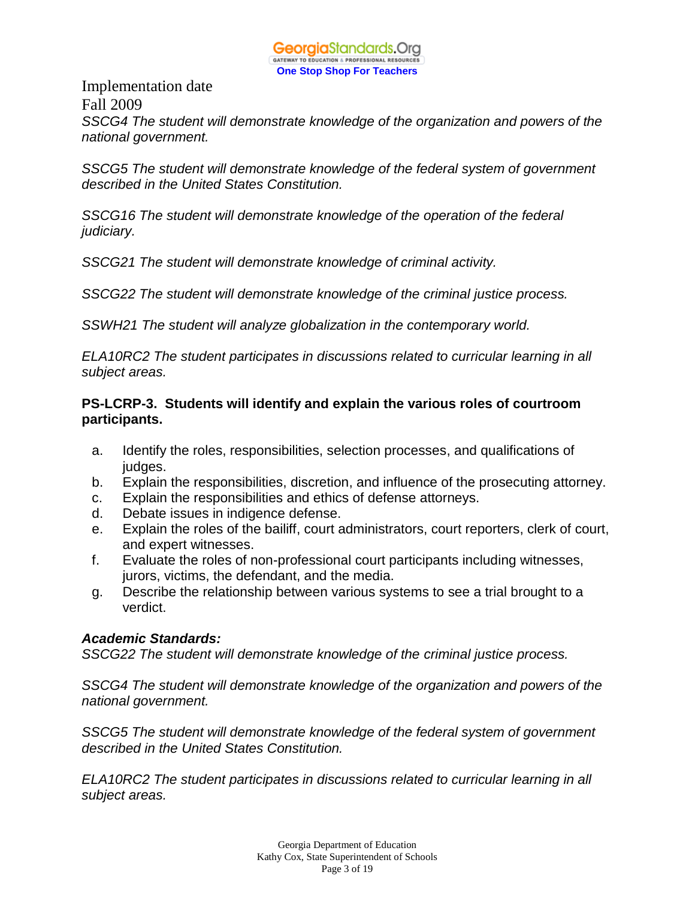

Implementation date Fall 2009 *SSCG4 The student will demonstrate knowledge of the organization and powers of the national government.* 

*SSCG5 The student will demonstrate knowledge of the federal system of government described in the United States Constitution.* 

*SSCG16 The student will demonstrate knowledge of the operation of the federal judiciary.* 

*SSCG21 The student will demonstrate knowledge of criminal activity.* 

*SSCG22 The student will demonstrate knowledge of the criminal justice process.* 

*SSWH21 The student will analyze globalization in the contemporary world.* 

*ELA10RC2 The student participates in discussions related to curricular learning in all subject areas.* 

# **PS-LCRP-3. Students will identify and explain the various roles of courtroom participants.**

- a. Identify the roles, responsibilities, selection processes, and qualifications of judges.
- b. Explain the responsibilities, discretion, and influence of the prosecuting attorney.
- c. Explain the responsibilities and ethics of defense attorneys.
- d. Debate issues in indigence defense.
- e. Explain the roles of the bailiff, court administrators, court reporters, clerk of court, and expert witnesses.
- f. Evaluate the roles of non-professional court participants including witnesses, jurors, victims, the defendant, and the media.
- g. Describe the relationship between various systems to see a trial brought to a verdict.

# *Academic Standards:*

*SSCG22 The student will demonstrate knowledge of the criminal justice process.* 

*SSCG4 The student will demonstrate knowledge of the organization and powers of the national government.* 

*SSCG5 The student will demonstrate knowledge of the federal system of government described in the United States Constitution.* 

*ELA10RC2 The student participates in discussions related to curricular learning in all subject areas.*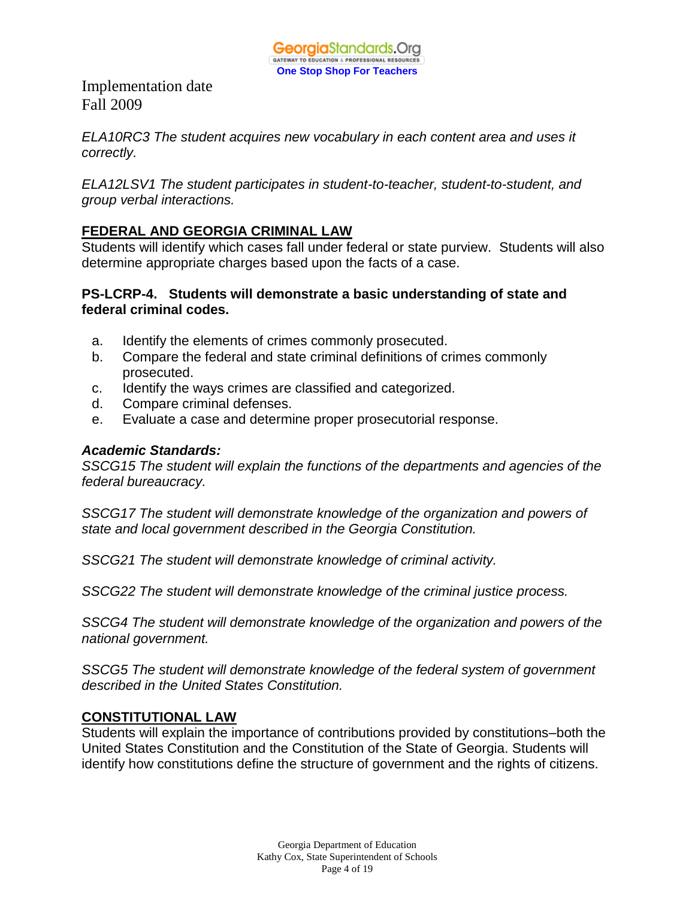

*ELA10RC3 The student acquires new vocabulary in each content area and uses it correctly.* 

*ELA12LSV1 The student participates in student-to-teacher, student-to-student, and group verbal interactions.* 

# **FEDERAL AND GEORGIA CRIMINAL LAW**

Students will identify which cases fall under federal or state purview. Students will also determine appropriate charges based upon the facts of a case.

#### **PS-LCRP-4. Students will demonstrate a basic understanding of state and federal criminal codes.**

- a. Identify the elements of crimes commonly prosecuted.
- b. Compare the federal and state criminal definitions of crimes commonly prosecuted.
- c. Identify the ways crimes are classified and categorized.
- d. Compare criminal defenses.
- e. Evaluate a case and determine proper prosecutorial response.

#### *Academic Standards:*

*SSCG15 The student will explain the functions of the departments and agencies of the federal bureaucracy.* 

*SSCG17 The student will demonstrate knowledge of the organization and powers of state and local government described in the Georgia Constitution.* 

*SSCG21 The student will demonstrate knowledge of criminal activity.* 

*SSCG22 The student will demonstrate knowledge of the criminal justice process.* 

*SSCG4 The student will demonstrate knowledge of the organization and powers of the national government.* 

*SSCG5 The student will demonstrate knowledge of the federal system of government described in the United States Constitution.* 

# **CONSTITUTIONAL LAW**

Students will explain the importance of contributions provided by constitutions–both the United States Constitution and the Constitution of the State of Georgia. Students will identify how constitutions define the structure of government and the rights of citizens.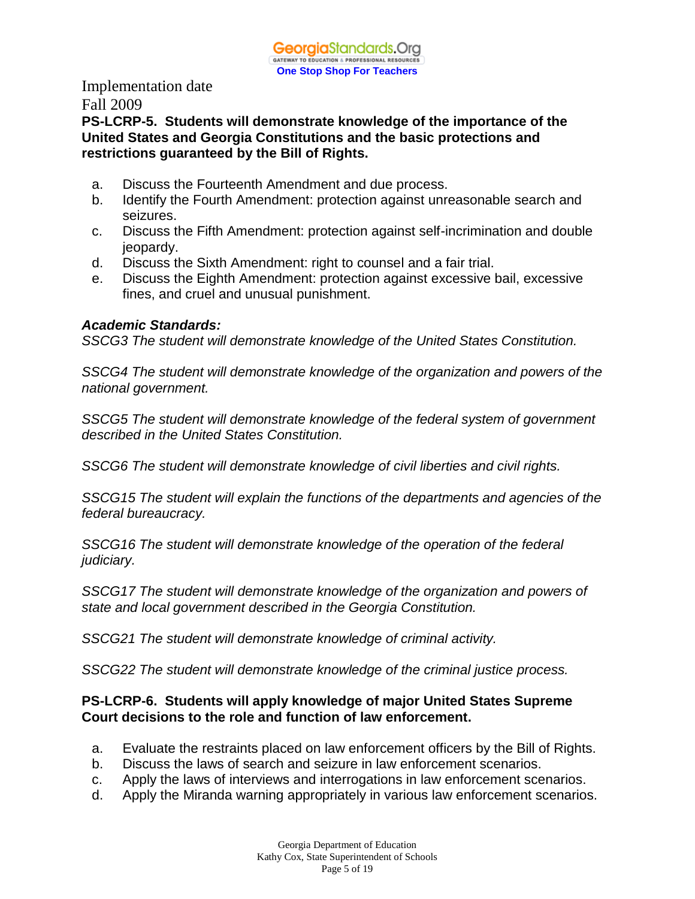# **PS-LCRP-5. Students will demonstrate knowledge of the importance of the United States and Georgia Constitutions and the basic protections and restrictions guaranteed by the Bill of Rights.**

- a. Discuss the Fourteenth Amendment and due process.
- b. Identify the Fourth Amendment: protection against unreasonable search and seizures.
- c. Discuss the Fifth Amendment: protection against self-incrimination and double jeopardy.
- d. Discuss the Sixth Amendment: right to counsel and a fair trial.
- e. Discuss the Eighth Amendment: protection against excessive bail, excessive fines, and cruel and unusual punishment.

# *Academic Standards:*

*SSCG3 The student will demonstrate knowledge of the United States Constitution.* 

*SSCG4 The student will demonstrate knowledge of the organization and powers of the national government.* 

*SSCG5 The student will demonstrate knowledge of the federal system of government described in the United States Constitution.* 

*SSCG6 The student will demonstrate knowledge of civil liberties and civil rights.* 

*SSCG15 The student will explain the functions of the departments and agencies of the federal bureaucracy.* 

*SSCG16 The student will demonstrate knowledge of the operation of the federal judiciary.* 

*SSCG17 The student will demonstrate knowledge of the organization and powers of state and local government described in the Georgia Constitution.* 

*SSCG21 The student will demonstrate knowledge of criminal activity.* 

*SSCG22 The student will demonstrate knowledge of the criminal justice process.* 

# **PS-LCRP-6. Students will apply knowledge of major United States Supreme Court decisions to the role and function of law enforcement.**

- a. Evaluate the restraints placed on law enforcement officers by the Bill of Rights.
- b. Discuss the laws of search and seizure in law enforcement scenarios.
- c. Apply the laws of interviews and interrogations in law enforcement scenarios.
- d. Apply the Miranda warning appropriately in various law enforcement scenarios.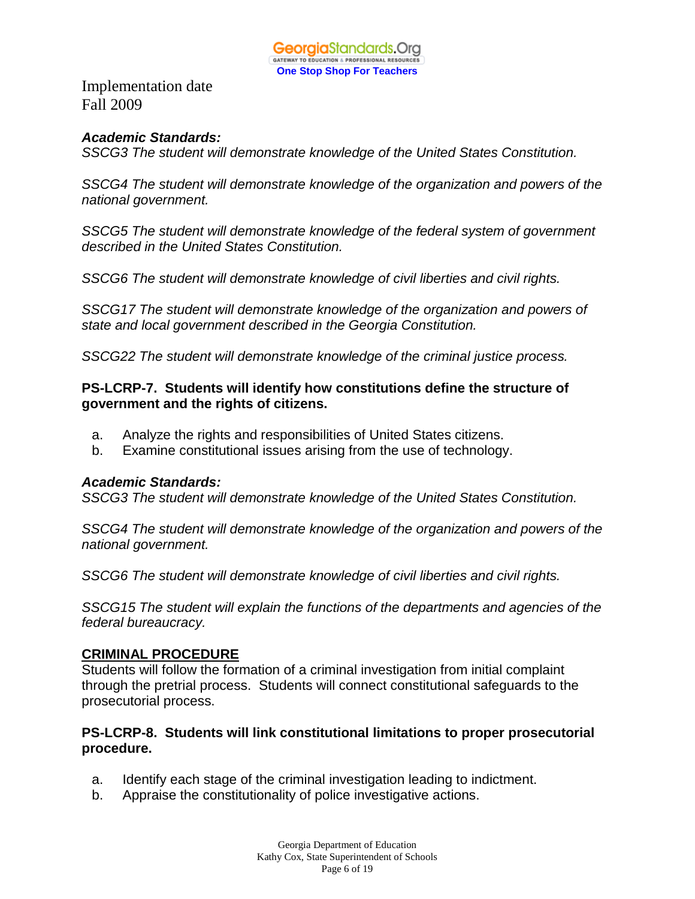

# *Academic Standards:*

*SSCG3 The student will demonstrate knowledge of the United States Constitution.* 

*SSCG4 The student will demonstrate knowledge of the organization and powers of the national government.* 

*SSCG5 The student will demonstrate knowledge of the federal system of government described in the United States Constitution.* 

*SSCG6 The student will demonstrate knowledge of civil liberties and civil rights.* 

*SSCG17 The student will demonstrate knowledge of the organization and powers of state and local government described in the Georgia Constitution.* 

*SSCG22 The student will demonstrate knowledge of the criminal justice process.* 

# **PS-LCRP-7. Students will identify how constitutions define the structure of government and the rights of citizens.**

- a. Analyze the rights and responsibilities of United States citizens.
- b. Examine constitutional issues arising from the use of technology.

# *Academic Standards:*

*SSCG3 The student will demonstrate knowledge of the United States Constitution.* 

*SSCG4 The student will demonstrate knowledge of the organization and powers of the national government.* 

*SSCG6 The student will demonstrate knowledge of civil liberties and civil rights.* 

*SSCG15 The student will explain the functions of the departments and agencies of the federal bureaucracy.* 

# **CRIMINAL PROCEDURE**

Students will follow the formation of a criminal investigation from initial complaint through the pretrial process. Students will connect constitutional safeguards to the prosecutorial process.

# **PS-LCRP-8. Students will link constitutional limitations to proper prosecutorial procedure.**

- a. Identify each stage of the criminal investigation leading to indictment.
- b. Appraise the constitutionality of police investigative actions.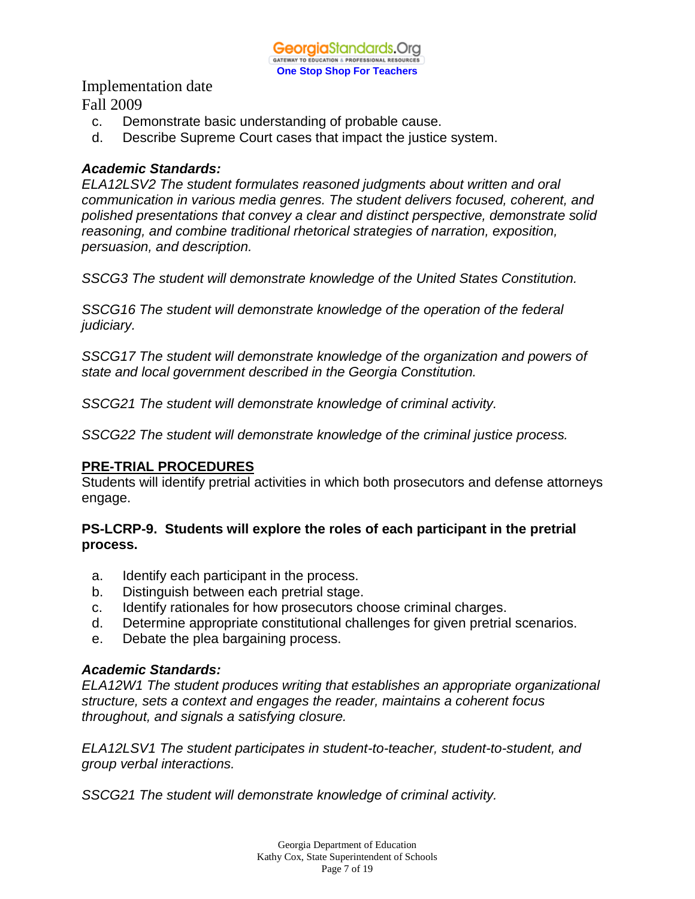- c. Demonstrate basic understanding of probable cause.
- d. Describe Supreme Court cases that impact the justice system.

#### *Academic Standards:*

*ELA12LSV2 The student formulates reasoned judgments about written and oral communication in various media genres. The student delivers focused, coherent, and polished presentations that convey a clear and distinct perspective, demonstrate solid reasoning, and combine traditional rhetorical strategies of narration, exposition, persuasion, and description.* 

*SSCG3 The student will demonstrate knowledge of the United States Constitution.*

*SSCG16 The student will demonstrate knowledge of the operation of the federal judiciary.* 

*SSCG17 The student will demonstrate knowledge of the organization and powers of state and local government described in the Georgia Constitution.* 

*SSCG21 The student will demonstrate knowledge of criminal activity.* 

*SSCG22 The student will demonstrate knowledge of the criminal justice process.* 

#### **PRE-TRIAL PROCEDURES**

Students will identify pretrial activities in which both prosecutors and defense attorneys engage.

# **PS-LCRP-9. Students will explore the roles of each participant in the pretrial process.**

- a. Identify each participant in the process.
- b. Distinguish between each pretrial stage.
- c. Identify rationales for how prosecutors choose criminal charges.
- d. Determine appropriate constitutional challenges for given pretrial scenarios.
- e. Debate the plea bargaining process.

# *Academic Standards:*

*ELA12W1 The student produces writing that establishes an appropriate organizational structure, sets a context and engages the reader, maintains a coherent focus throughout, and signals a satisfying closure.* 

*ELA12LSV1 The student participates in student-to-teacher, student-to-student, and group verbal interactions.* 

*SSCG21 The student will demonstrate knowledge of criminal activity.*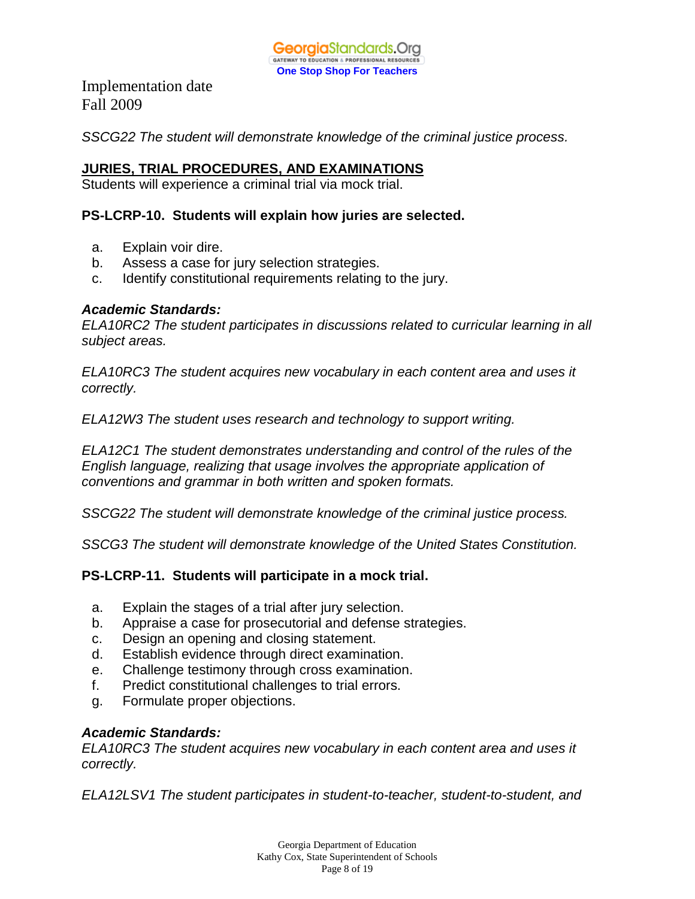

*SSCG22 The student will demonstrate knowledge of the criminal justice process.*

# **JURIES, TRIAL PROCEDURES, AND EXAMINATIONS**

Students will experience a criminal trial via mock trial.

# **PS-LCRP-10. Students will explain how juries are selected.**

- a. Explain voir dire.
- b. Assess a case for jury selection strategies.
- c. Identify constitutional requirements relating to the jury.

#### *Academic Standards:*

*ELA10RC2 The student participates in discussions related to curricular learning in all subject areas.* 

*ELA10RC3 The student acquires new vocabulary in each content area and uses it correctly.* 

*ELA12W3 The student uses research and technology to support writing.* 

*ELA12C1 The student demonstrates understanding and control of the rules of the English language, realizing that usage involves the appropriate application of conventions and grammar in both written and spoken formats.* 

*SSCG22 The student will demonstrate knowledge of the criminal justice process.* 

*SSCG3 The student will demonstrate knowledge of the United States Constitution.* 

# **PS-LCRP-11. Students will participate in a mock trial.**

- a. Explain the stages of a trial after jury selection.
- b. Appraise a case for prosecutorial and defense strategies.
- c. Design an opening and closing statement.
- d. Establish evidence through direct examination.
- e. Challenge testimony through cross examination.
- f. Predict constitutional challenges to trial errors.
- g. Formulate proper objections.

# *Academic Standards:*

*ELA10RC3 The student acquires new vocabulary in each content area and uses it correctly.* 

*ELA12LSV1 The student participates in student-to-teacher, student-to-student, and*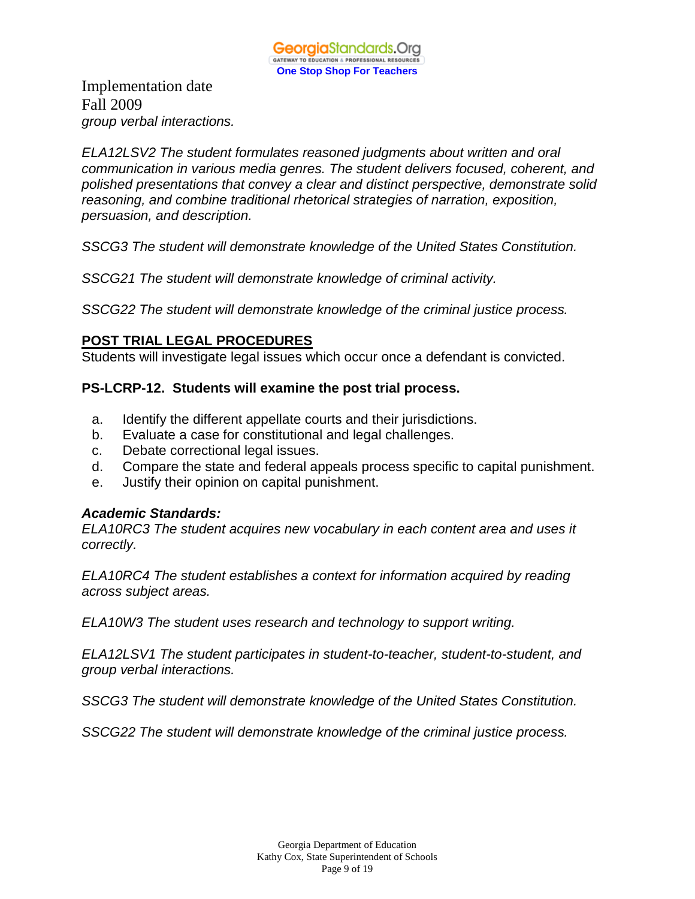Implementation date Fall 2009 *group verbal interactions.* 

*ELA12LSV2 The student formulates reasoned judgments about written and oral communication in various media genres. The student delivers focused, coherent, and polished presentations that convey a clear and distinct perspective, demonstrate solid reasoning, and combine traditional rhetorical strategies of narration, exposition, persuasion, and description.* 

*SSCG3 The student will demonstrate knowledge of the United States Constitution.* 

*SSCG21 The student will demonstrate knowledge of criminal activity.* 

*SSCG22 The student will demonstrate knowledge of the criminal justice process.* 

# **POST TRIAL LEGAL PROCEDURES**

Students will investigate legal issues which occur once a defendant is convicted.

#### **PS-LCRP-12. Students will examine the post trial process.**

- a. Identify the different appellate courts and their jurisdictions.
- b. Evaluate a case for constitutional and legal challenges.
- c. Debate correctional legal issues.
- d. Compare the state and federal appeals process specific to capital punishment.
- e. Justify their opinion on capital punishment.

# *Academic Standards:*

*ELA10RC3 The student acquires new vocabulary in each content area and uses it correctly.* 

*ELA10RC4 The student establishes a context for information acquired by reading across subject areas.* 

*ELA10W3 The student uses research and technology to support writing.* 

*ELA12LSV1 The student participates in student-to-teacher, student-to-student, and group verbal interactions.* 

*SSCG3 The student will demonstrate knowledge of the United States Constitution.* 

*SSCG22 The student will demonstrate knowledge of the criminal justice process.*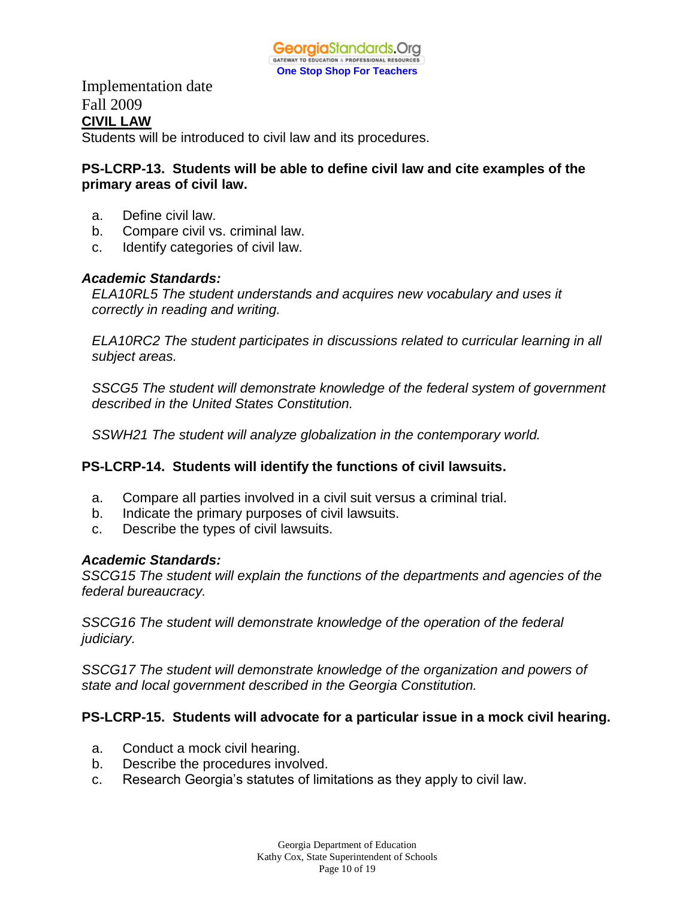Implementation date Fall 2009 **CIVIL LAW**

Students will be introduced to civil law and its procedures.

# **PS-LCRP-13. Students will be able to define civil law and cite examples of the primary areas of civil law.**

- a. Define civil law.
- b. Compare civil vs. criminal law.
- c. Identify categories of civil law.

#### *Academic Standards:*

*ELA10RL5 The student understands and acquires new vocabulary and uses it correctly in reading and writing.* 

*ELA10RC2 The student participates in discussions related to curricular learning in all subject areas.* 

*SSCG5 The student will demonstrate knowledge of the federal system of government described in the United States Constitution.* 

*SSWH21 The student will analyze globalization in the contemporary world.* 

# **PS-LCRP-14. Students will identify the functions of civil lawsuits.**

- a. Compare all parties involved in a civil suit versus a criminal trial.
- b. Indicate the primary purposes of civil lawsuits.
- c. Describe the types of civil lawsuits.

#### *Academic Standards:*

*SSCG15 The student will explain the functions of the departments and agencies of the federal bureaucracy.* 

*SSCG16 The student will demonstrate knowledge of the operation of the federal judiciary.* 

*SSCG17 The student will demonstrate knowledge of the organization and powers of state and local government described in the Georgia Constitution.* 

#### **PS-LCRP-15. Students will advocate for a particular issue in a mock civil hearing.**

- a. Conduct a mock civil hearing.
- b. Describe the procedures involved.
- c. Research Georgia's statutes of limitations as they apply to civil law.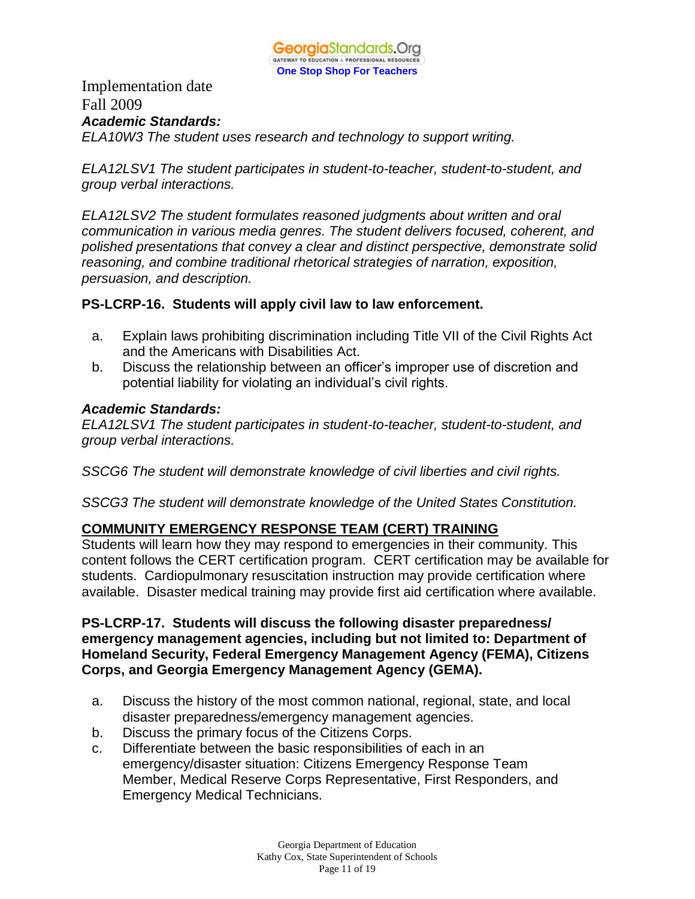

Implementation date Fall 2009 *Academic Standards:*

*ELA10W3 The student uses research and technology to support writing.* 

*ELA12LSV1 The student participates in student-to-teacher, student-to-student, and group verbal interactions.* 

*ELA12LSV2 The student formulates reasoned judgments about written and oral communication in various media genres. The student delivers focused, coherent, and polished presentations that convey a clear and distinct perspective, demonstrate solid reasoning, and combine traditional rhetorical strategies of narration, exposition, persuasion, and description.* 

#### **PS-LCRP-16. Students will apply civil law to law enforcement.**

- a. Explain laws prohibiting discrimination including Title VII of the Civil Rights Act and the Americans with Disabilities Act.
- b. Discuss the relationship between an officer's improper use of discretion and potential liability for violating an individual's civil rights.

#### *Academic Standards:*

*ELA12LSV1 The student participates in student-to-teacher, student-to-student, and group verbal interactions.* 

*SSCG6 The student will demonstrate knowledge of civil liberties and civil rights.*

*SSCG3 The student will demonstrate knowledge of the United States Constitution.* 

# **COMMUNITY EMERGENCY RESPONSE TEAM (CERT) TRAINING**

Students will learn how they may respond to emergencies in their community. This content follows the CERT certification program. CERT certification may be available for students. Cardiopulmonary resuscitation instruction may provide certification where available. Disaster medical training may provide first aid certification where available.

### **PS-LCRP-17. Students will discuss the following disaster preparedness/ emergency management agencies, including but not limited to: Department of Homeland Security, Federal Emergency Management Agency (FEMA), Citizens Corps, and Georgia Emergency Management Agency (GEMA).**

- a. Discuss the history of the most common national, regional, state, and local disaster preparedness/emergency management agencies.
- b. Discuss the primary focus of the Citizens Corps.
- c. Differentiate between the basic responsibilities of each in an emergency/disaster situation: Citizens Emergency Response Team Member, Medical Reserve Corps Representative, First Responders, and Emergency Medical Technicians.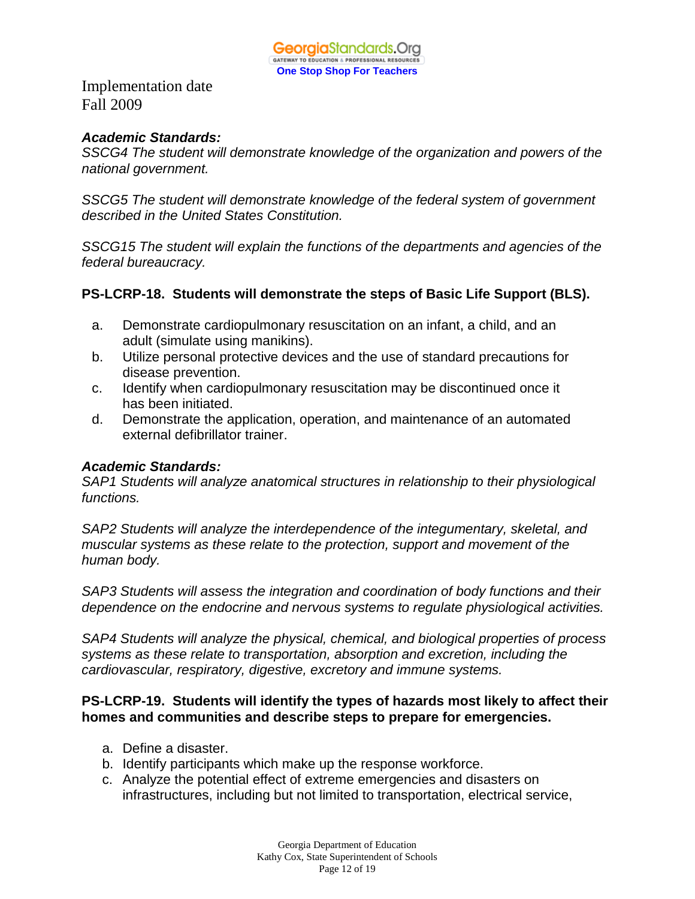# *Academic Standards:*

*SSCG4 The student will demonstrate knowledge of the organization and powers of the national government.* 

*SSCG5 The student will demonstrate knowledge of the federal system of government described in the United States Constitution.* 

*SSCG15 The student will explain the functions of the departments and agencies of the federal bureaucracy.* 

# **PS-LCRP-18. Students will demonstrate the steps of Basic Life Support (BLS).**

- a. Demonstrate cardiopulmonary resuscitation on an infant, a child, and an adult (simulate using manikins).
- b. Utilize personal protective devices and the use of standard precautions for disease prevention.
- c. Identify when cardiopulmonary resuscitation may be discontinued once it has been initiated.
- d. Demonstrate the application, operation, and maintenance of an automated external defibrillator trainer.

# *Academic Standards:*

*SAP1 Students will analyze anatomical structures in relationship to their physiological functions.*

*SAP2 Students will analyze the interdependence of the integumentary, skeletal, and muscular systems as these relate to the protection, support and movement of the human body.*

*SAP3 Students will assess the integration and coordination of body functions and their dependence on the endocrine and nervous systems to regulate physiological activities.*

*SAP4 Students will analyze the physical, chemical, and biological properties of process systems as these relate to transportation, absorption and excretion, including the cardiovascular, respiratory, digestive, excretory and immune systems.*

# **PS-LCRP-19. Students will identify the types of hazards most likely to affect their homes and communities and describe steps to prepare for emergencies.**

- a. Define a disaster.
- b. Identify participants which make up the response workforce.
- c. Analyze the potential effect of extreme emergencies and disasters on infrastructures, including but not limited to transportation, electrical service,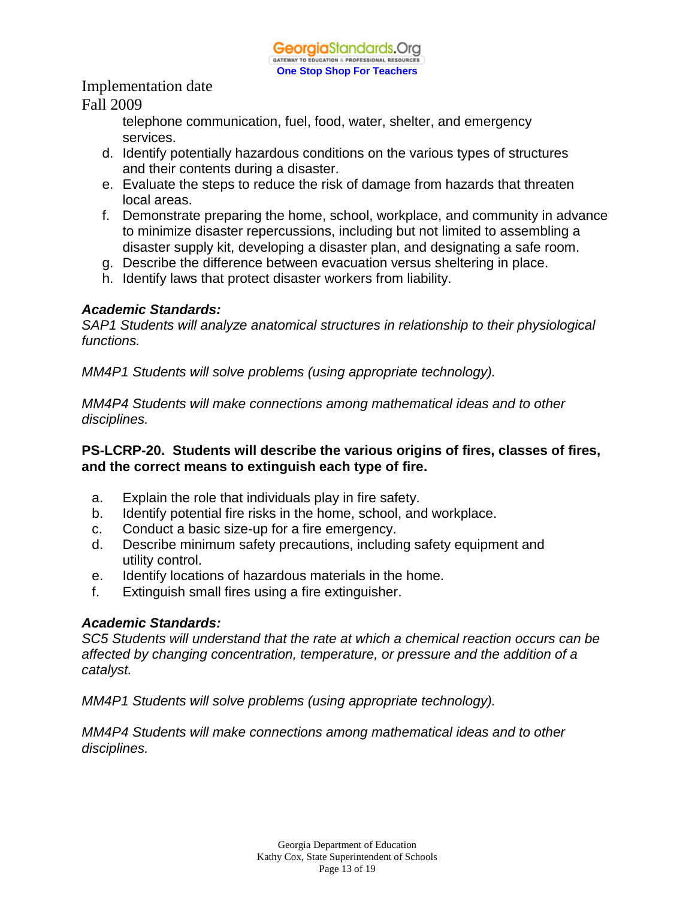> telephone communication, fuel, food, water, shelter, and emergency services.

- d. Identify potentially hazardous conditions on the various types of structures and their contents during a disaster.
- e. Evaluate the steps to reduce the risk of damage from hazards that threaten local areas.
- f. Demonstrate preparing the home, school, workplace, and community in advance to minimize disaster repercussions, including but not limited to assembling a disaster supply kit, developing a disaster plan, and designating a safe room.
- g. Describe the difference between evacuation versus sheltering in place.
- h. Identify laws that protect disaster workers from liability.

# *Academic Standards:*

*SAP1 Students will analyze anatomical structures in relationship to their physiological functions.*

*MM4P1 Students will solve problems (using appropriate technology).* 

*MM4P4 Students will make connections among mathematical ideas and to other disciplines.* 

# **PS-LCRP-20. Students will describe the various origins of fires, classes of fires, and the correct means to extinguish each type of fire.**

- a. Explain the role that individuals play in fire safety.
- b. Identify potential fire risks in the home, school, and workplace.
- c. Conduct a basic size-up for a fire emergency.
- d. Describe minimum safety precautions, including safety equipment and utility control.
- e. Identify locations of hazardous materials in the home.
- f. Extinguish small fires using a fire extinguisher.

# *Academic Standards:*

*SC5 Students will understand that the rate at which a chemical reaction occurs can be affected by changing concentration, temperature, or pressure and the addition of a catalyst.* 

*MM4P1 Students will solve problems (using appropriate technology).* 

*MM4P4 Students will make connections among mathematical ideas and to other disciplines.*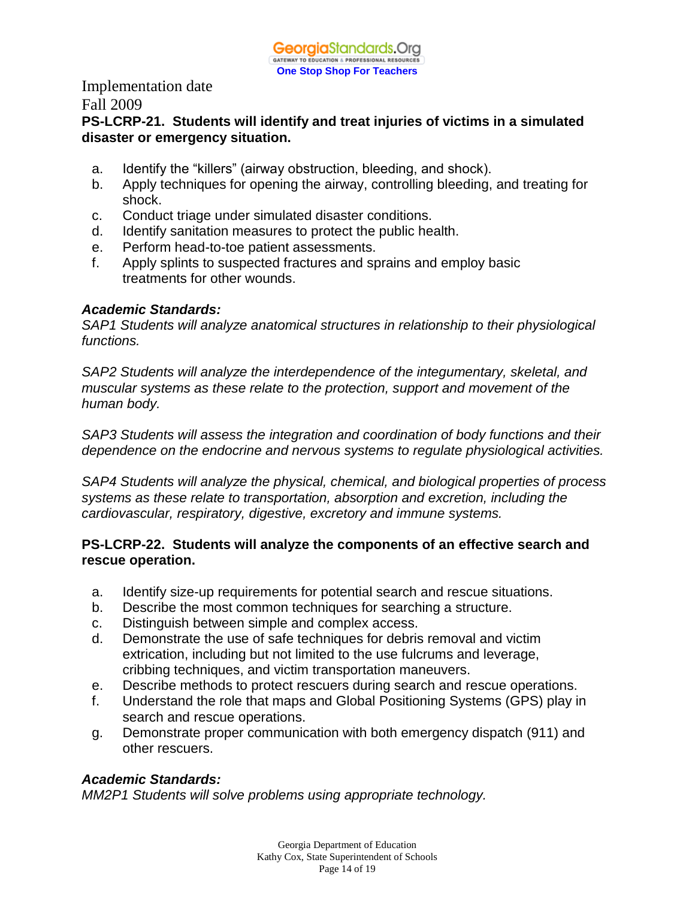# **PS-LCRP-21. Students will identify and treat injuries of victims in a simulated disaster or emergency situation.**

- a. Identify the "killers" (airway obstruction, bleeding, and shock).
- b. Apply techniques for opening the airway, controlling bleeding, and treating for shock.
- c. Conduct triage under simulated disaster conditions.
- d. Identify sanitation measures to protect the public health.
- e. Perform head-to-toe patient assessments.
- f. Apply splints to suspected fractures and sprains and employ basic treatments for other wounds.

# *Academic Standards:*

*SAP1 Students will analyze anatomical structures in relationship to their physiological functions.*

*SAP2 Students will analyze the interdependence of the integumentary, skeletal, and muscular systems as these relate to the protection, support and movement of the human body.*

*SAP3 Students will assess the integration and coordination of body functions and their dependence on the endocrine and nervous systems to regulate physiological activities.*

*SAP4 Students will analyze the physical, chemical, and biological properties of process systems as these relate to transportation, absorption and excretion, including the cardiovascular, respiratory, digestive, excretory and immune systems.*

# **PS-LCRP-22. Students will analyze the components of an effective search and rescue operation.**

- a. Identify size-up requirements for potential search and rescue situations.
- b. Describe the most common techniques for searching a structure.
- c. Distinguish between simple and complex access.
- d. Demonstrate the use of safe techniques for debris removal and victim extrication, including but not limited to the use fulcrums and leverage, cribbing techniques, and victim transportation maneuvers.
- e. Describe methods to protect rescuers during search and rescue operations.
- f. Understand the role that maps and Global Positioning Systems (GPS) play in search and rescue operations.
- g. Demonstrate proper communication with both emergency dispatch (911) and other rescuers.

# *Academic Standards:*

*MM2P1 Students will solve problems using appropriate technology.*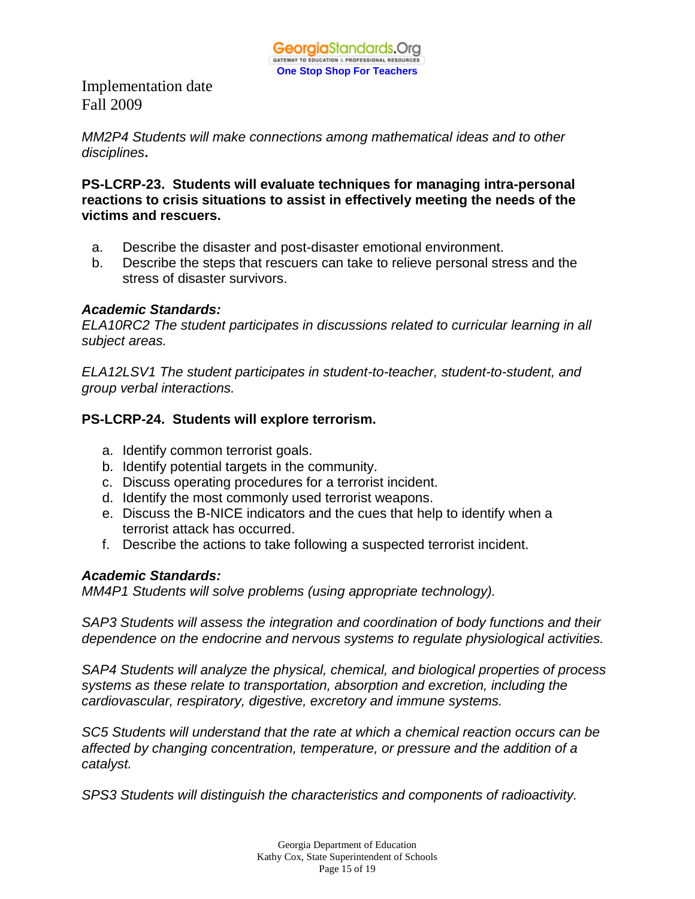*MM2P4 Students will make connections among mathematical ideas and to other disciplines***.** 

**PS-LCRP-23. Students will evaluate techniques for managing intra-personal reactions to crisis situations to assist in effectively meeting the needs of the victims and rescuers.** 

- a. Describe the disaster and post-disaster emotional environment.
- b. Describe the steps that rescuers can take to relieve personal stress and the stress of disaster survivors.

# *Academic Standards:*

*ELA10RC2 The student participates in discussions related to curricular learning in all subject areas.* 

*ELA12LSV1 The student participates in student-to-teacher, student-to-student, and group verbal interactions.* 

# **PS-LCRP-24. Students will explore terrorism.**

- a. Identify common terrorist goals.
- b. Identify potential targets in the community.
- c. Discuss operating procedures for a terrorist incident.
- d. Identify the most commonly used terrorist weapons.
- e. Discuss the B-NICE indicators and the cues that help to identify when a terrorist attack has occurred.
- f. Describe the actions to take following a suspected terrorist incident.

# *Academic Standards:*

*MM4P1 Students will solve problems (using appropriate technology).* 

*SAP3 Students will assess the integration and coordination of body functions and their dependence on the endocrine and nervous systems to regulate physiological activities.*

*SAP4 Students will analyze the physical, chemical, and biological properties of process systems as these relate to transportation, absorption and excretion, including the cardiovascular, respiratory, digestive, excretory and immune systems.*

*SC5 Students will understand that the rate at which a chemical reaction occurs can be affected by changing concentration, temperature, or pressure and the addition of a catalyst.* 

*SPS3 Students will distinguish the characteristics and components of radioactivity.*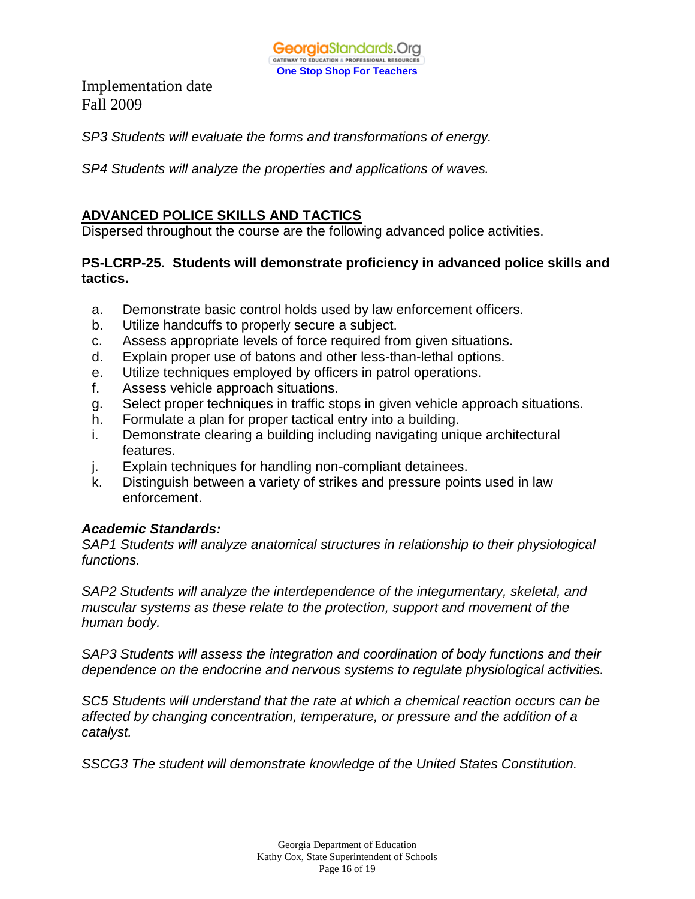

*SP3 Students will evaluate the forms and transformations of energy.* 

*SP4 Students will analyze the properties and applications of waves.* 

### **ADVANCED POLICE SKILLS AND TACTICS**

Dispersed throughout the course are the following advanced police activities.

# **PS-LCRP-25. Students will demonstrate proficiency in advanced police skills and tactics.**

- a. Demonstrate basic control holds used by law enforcement officers.
- b. Utilize handcuffs to properly secure a subject.
- c. Assess appropriate levels of force required from given situations.
- d. Explain proper use of batons and other less-than-lethal options.
- e. Utilize techniques employed by officers in patrol operations.
- f. Assess vehicle approach situations.
- g. Select proper techniques in traffic stops in given vehicle approach situations.
- h. Formulate a plan for proper tactical entry into a building.
- i. Demonstrate clearing a building including navigating unique architectural features.
- j. Explain techniques for handling non-compliant detainees.
- k. Distinguish between a variety of strikes and pressure points used in law enforcement.

#### *Academic Standards:*

*SAP1 Students will analyze anatomical structures in relationship to their physiological functions.*

*SAP2 Students will analyze the interdependence of the integumentary, skeletal, and muscular systems as these relate to the protection, support and movement of the human body.*

*SAP3 Students will assess the integration and coordination of body functions and their dependence on the endocrine and nervous systems to regulate physiological activities.*

*SC5 Students will understand that the rate at which a chemical reaction occurs can be affected by changing concentration, temperature, or pressure and the addition of a catalyst.* 

*SSCG3 The student will demonstrate knowledge of the United States Constitution.*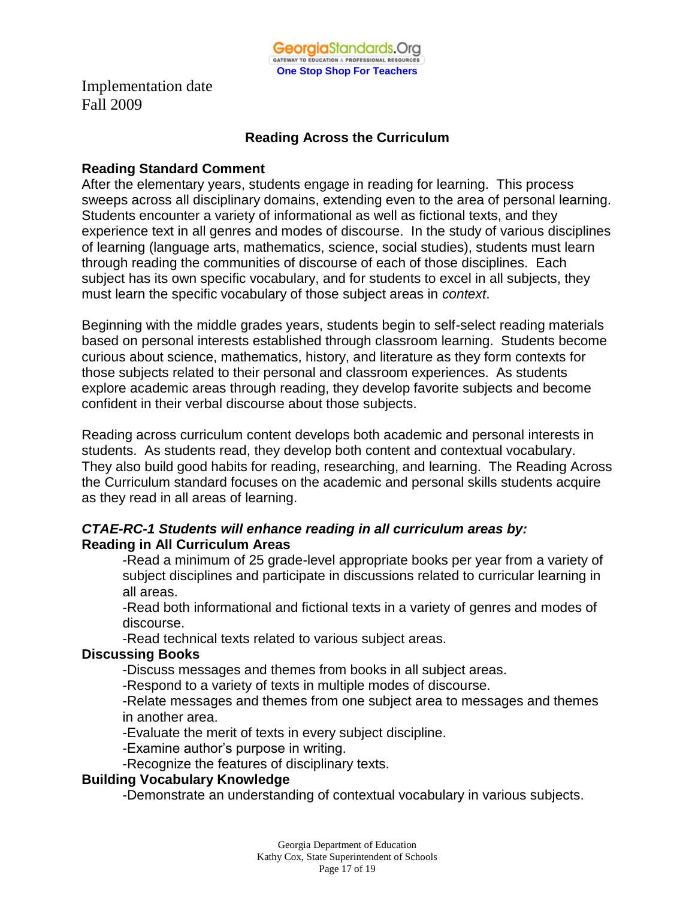

#### **Reading Across the Curriculum**

#### **Reading Standard Comment**

After the elementary years, students engage in reading for learning. This process sweeps across all disciplinary domains, extending even to the area of personal learning. Students encounter a variety of informational as well as fictional texts, and they experience text in all genres and modes of discourse. In the study of various disciplines of learning (language arts, mathematics, science, social studies), students must learn through reading the communities of discourse of each of those disciplines. Each subject has its own specific vocabulary, and for students to excel in all subjects, they must learn the specific vocabulary of those subject areas in *context*.

Beginning with the middle grades years, students begin to self-select reading materials based on personal interests established through classroom learning. Students become curious about science, mathematics, history, and literature as they form contexts for those subjects related to their personal and classroom experiences. As students explore academic areas through reading, they develop favorite subjects and become confident in their verbal discourse about those subjects.

Reading across curriculum content develops both academic and personal interests in students. As students read, they develop both content and contextual vocabulary. They also build good habits for reading, researching, and learning. The Reading Across the Curriculum standard focuses on the academic and personal skills students acquire as they read in all areas of learning.

# *CTAE-RC-1 Students will enhance reading in all curriculum areas by:* **Reading in All Curriculum Areas**

-Read a minimum of 25 grade-level appropriate books per year from a variety of subject disciplines and participate in discussions related to curricular learning in all areas.

-Read both informational and fictional texts in a variety of genres and modes of discourse.

-Read technical texts related to various subject areas.

#### **Discussing Books**

-Discuss messages and themes from books in all subject areas.

-Respond to a variety of texts in multiple modes of discourse.

-Relate messages and themes from one subject area to messages and themes in another area.

-Evaluate the merit of texts in every subject discipline.

-Examine author's purpose in writing.

-Recognize the features of disciplinary texts.

# **Building Vocabulary Knowledge**

-Demonstrate an understanding of contextual vocabulary in various subjects.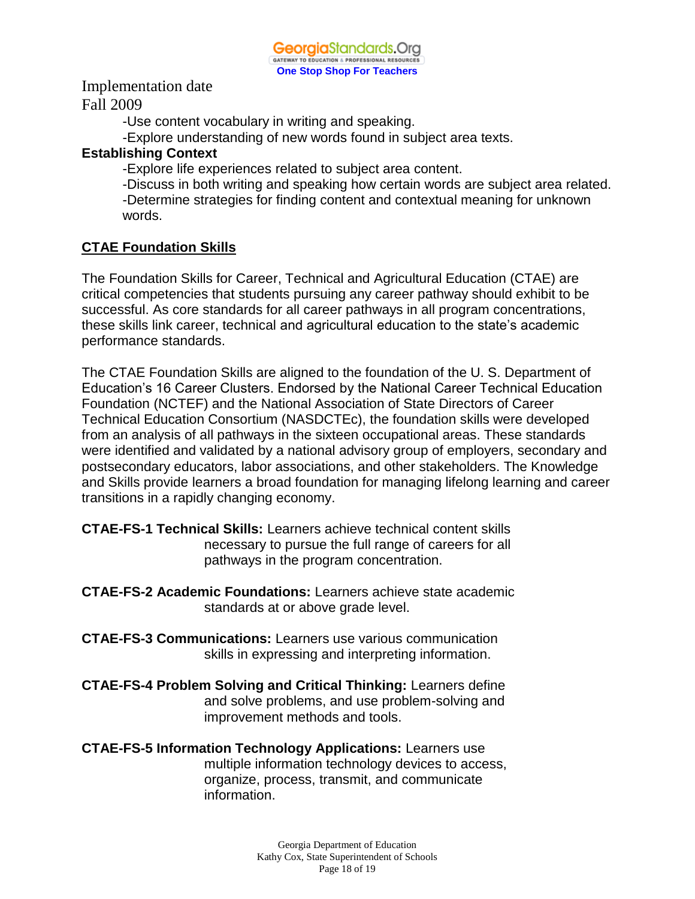-Use content vocabulary in writing and speaking.

-Explore understanding of new words found in subject area texts.

### **Establishing Context**

-Explore life experiences related to subject area content.

-Discuss in both writing and speaking how certain words are subject area related. -Determine strategies for finding content and contextual meaning for unknown words.

# **CTAE Foundation Skills**

The Foundation Skills for Career, Technical and Agricultural Education (CTAE) are critical competencies that students pursuing any career pathway should exhibit to be successful. As core standards for all career pathways in all program concentrations, these skills link career, technical and agricultural education to the state's academic performance standards.

The CTAE Foundation Skills are aligned to the foundation of the U. S. Department of Education's 16 Career Clusters. Endorsed by the National Career Technical Education Foundation (NCTEF) and the National Association of State Directors of Career Technical Education Consortium (NASDCTEc), the foundation skills were developed from an analysis of all pathways in the sixteen occupational areas. These standards were identified and validated by a national advisory group of employers, secondary and postsecondary educators, labor associations, and other stakeholders. The Knowledge and Skills provide learners a broad foundation for managing lifelong learning and career transitions in a rapidly changing economy.

- **CTAE-FS-1 Technical Skills:** Learners achieve technical content skills necessary to pursue the full range of careers for all pathways in the program concentration.
- **CTAE-FS-2 Academic Foundations:** Learners achieve state academic standards at or above grade level.
- **CTAE-FS-3 Communications:** Learners use various communication skills in expressing and interpreting information.
- **CTAE-FS-4 Problem Solving and Critical Thinking:** Learners define and solve problems, and use problem-solving and improvement methods and tools.

**CTAE-FS-5 Information Technology Applications:** Learners use multiple information technology devices to access, organize, process, transmit, and communicate information.